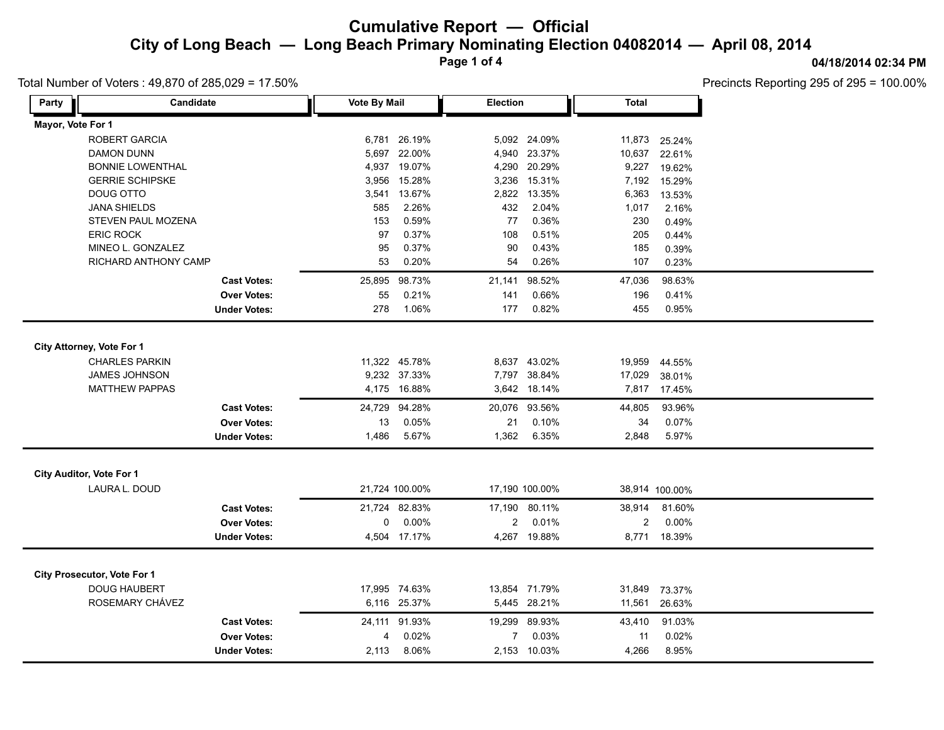**Page 1 of 4**

### Total Number of Voters : 49,870 of 285,029 = 17.50%

**04/18/2014 02:34 PM**

Precincts Reporting 295 of 295 = 100.00%

| Mayor, Vote For 1<br>ROBERT GARCIA<br>26.19%<br>5,092 24.09%<br>6,781<br>11,873<br>25.24%<br>22.00%<br>4,940 23.37%<br>10,637<br><b>DAMON DUNN</b><br>5,697<br>22.61%<br>19.07%<br><b>BONNIE LOWENTHAL</b><br>4,937<br>4,290 20.29%<br>9,227<br>19.62%<br><b>GERRIE SCHIPSKE</b><br>3,956<br>15.28%<br>3,236 15.31%<br>7,192<br>15.29%<br>3,541 13.67%<br>DOUG OTTO<br>2,822 13.35%<br>6,363<br>13.53%<br>2.26%<br>432<br>2.04%<br><b>JANA SHIELDS</b><br>585<br>1,017<br>2.16%<br>0.59%<br>0.36%<br>230<br>STEVEN PAUL MOZENA<br>153<br>77<br>0.49%<br><b>ERIC ROCK</b><br>0.37%<br>108<br>0.51%<br>205<br>97<br>0.44%<br>MINEO L. GONZALEZ<br>95<br>0.37%<br>90<br>0.43%<br>185<br>0.39%<br>RICHARD ANTHONY CAMP<br>53<br>0.20%<br>54<br>0.26%<br>107<br>0.23%<br>98.73%<br>98.63%<br>25,895<br>21,141<br>98.52%<br>47,036<br><b>Cast Votes:</b><br>0.21%<br>0.66%<br>0.41%<br><b>Over Votes:</b><br>55<br>141<br>196<br>278<br>1.06%<br>177<br>0.82%<br>455<br>0.95%<br><b>Under Votes:</b><br>City Attorney, Vote For 1<br>11,322 45.78%<br><b>CHARLES PARKIN</b><br>8,637 43.02%<br>19,959<br>44.55%<br>JAMES JOHNSON<br>9,232 37.33%<br>7,797 38.84%<br>17,029<br>38.01%<br><b>MATTHEW PAPPAS</b><br>4,175 16.88%<br>3,642 18.14%<br>7,817<br>17.45%<br>24,729 94.28%<br>20,076 93.56%<br>93.96%<br>44,805<br><b>Cast Votes:</b><br><b>Over Votes:</b><br>0.05%<br>21<br>0.07%<br>13<br>0.10%<br>34<br>5.67%<br>1,362<br>5.97%<br><b>Under Votes:</b><br>1,486<br>6.35%<br>2,848<br>City Auditor, Vote For 1<br>LAURA L. DOUD<br>21,724 100.00%<br>17,190 100.00%<br>38,914 100.00% |
|-------------------------------------------------------------------------------------------------------------------------------------------------------------------------------------------------------------------------------------------------------------------------------------------------------------------------------------------------------------------------------------------------------------------------------------------------------------------------------------------------------------------------------------------------------------------------------------------------------------------------------------------------------------------------------------------------------------------------------------------------------------------------------------------------------------------------------------------------------------------------------------------------------------------------------------------------------------------------------------------------------------------------------------------------------------------------------------------------------------------------------------------------------------------------------------------------------------------------------------------------------------------------------------------------------------------------------------------------------------------------------------------------------------------------------------------------------------------------------------------------------------------------------------------------------------------------------------------|
|                                                                                                                                                                                                                                                                                                                                                                                                                                                                                                                                                                                                                                                                                                                                                                                                                                                                                                                                                                                                                                                                                                                                                                                                                                                                                                                                                                                                                                                                                                                                                                                           |
|                                                                                                                                                                                                                                                                                                                                                                                                                                                                                                                                                                                                                                                                                                                                                                                                                                                                                                                                                                                                                                                                                                                                                                                                                                                                                                                                                                                                                                                                                                                                                                                           |
|                                                                                                                                                                                                                                                                                                                                                                                                                                                                                                                                                                                                                                                                                                                                                                                                                                                                                                                                                                                                                                                                                                                                                                                                                                                                                                                                                                                                                                                                                                                                                                                           |
|                                                                                                                                                                                                                                                                                                                                                                                                                                                                                                                                                                                                                                                                                                                                                                                                                                                                                                                                                                                                                                                                                                                                                                                                                                                                                                                                                                                                                                                                                                                                                                                           |
|                                                                                                                                                                                                                                                                                                                                                                                                                                                                                                                                                                                                                                                                                                                                                                                                                                                                                                                                                                                                                                                                                                                                                                                                                                                                                                                                                                                                                                                                                                                                                                                           |
|                                                                                                                                                                                                                                                                                                                                                                                                                                                                                                                                                                                                                                                                                                                                                                                                                                                                                                                                                                                                                                                                                                                                                                                                                                                                                                                                                                                                                                                                                                                                                                                           |
|                                                                                                                                                                                                                                                                                                                                                                                                                                                                                                                                                                                                                                                                                                                                                                                                                                                                                                                                                                                                                                                                                                                                                                                                                                                                                                                                                                                                                                                                                                                                                                                           |
|                                                                                                                                                                                                                                                                                                                                                                                                                                                                                                                                                                                                                                                                                                                                                                                                                                                                                                                                                                                                                                                                                                                                                                                                                                                                                                                                                                                                                                                                                                                                                                                           |
|                                                                                                                                                                                                                                                                                                                                                                                                                                                                                                                                                                                                                                                                                                                                                                                                                                                                                                                                                                                                                                                                                                                                                                                                                                                                                                                                                                                                                                                                                                                                                                                           |
|                                                                                                                                                                                                                                                                                                                                                                                                                                                                                                                                                                                                                                                                                                                                                                                                                                                                                                                                                                                                                                                                                                                                                                                                                                                                                                                                                                                                                                                                                                                                                                                           |
|                                                                                                                                                                                                                                                                                                                                                                                                                                                                                                                                                                                                                                                                                                                                                                                                                                                                                                                                                                                                                                                                                                                                                                                                                                                                                                                                                                                                                                                                                                                                                                                           |
|                                                                                                                                                                                                                                                                                                                                                                                                                                                                                                                                                                                                                                                                                                                                                                                                                                                                                                                                                                                                                                                                                                                                                                                                                                                                                                                                                                                                                                                                                                                                                                                           |
|                                                                                                                                                                                                                                                                                                                                                                                                                                                                                                                                                                                                                                                                                                                                                                                                                                                                                                                                                                                                                                                                                                                                                                                                                                                                                                                                                                                                                                                                                                                                                                                           |
|                                                                                                                                                                                                                                                                                                                                                                                                                                                                                                                                                                                                                                                                                                                                                                                                                                                                                                                                                                                                                                                                                                                                                                                                                                                                                                                                                                                                                                                                                                                                                                                           |
|                                                                                                                                                                                                                                                                                                                                                                                                                                                                                                                                                                                                                                                                                                                                                                                                                                                                                                                                                                                                                                                                                                                                                                                                                                                                                                                                                                                                                                                                                                                                                                                           |
|                                                                                                                                                                                                                                                                                                                                                                                                                                                                                                                                                                                                                                                                                                                                                                                                                                                                                                                                                                                                                                                                                                                                                                                                                                                                                                                                                                                                                                                                                                                                                                                           |
|                                                                                                                                                                                                                                                                                                                                                                                                                                                                                                                                                                                                                                                                                                                                                                                                                                                                                                                                                                                                                                                                                                                                                                                                                                                                                                                                                                                                                                                                                                                                                                                           |
|                                                                                                                                                                                                                                                                                                                                                                                                                                                                                                                                                                                                                                                                                                                                                                                                                                                                                                                                                                                                                                                                                                                                                                                                                                                                                                                                                                                                                                                                                                                                                                                           |
|                                                                                                                                                                                                                                                                                                                                                                                                                                                                                                                                                                                                                                                                                                                                                                                                                                                                                                                                                                                                                                                                                                                                                                                                                                                                                                                                                                                                                                                                                                                                                                                           |
|                                                                                                                                                                                                                                                                                                                                                                                                                                                                                                                                                                                                                                                                                                                                                                                                                                                                                                                                                                                                                                                                                                                                                                                                                                                                                                                                                                                                                                                                                                                                                                                           |
|                                                                                                                                                                                                                                                                                                                                                                                                                                                                                                                                                                                                                                                                                                                                                                                                                                                                                                                                                                                                                                                                                                                                                                                                                                                                                                                                                                                                                                                                                                                                                                                           |
|                                                                                                                                                                                                                                                                                                                                                                                                                                                                                                                                                                                                                                                                                                                                                                                                                                                                                                                                                                                                                                                                                                                                                                                                                                                                                                                                                                                                                                                                                                                                                                                           |
|                                                                                                                                                                                                                                                                                                                                                                                                                                                                                                                                                                                                                                                                                                                                                                                                                                                                                                                                                                                                                                                                                                                                                                                                                                                                                                                                                                                                                                                                                                                                                                                           |
|                                                                                                                                                                                                                                                                                                                                                                                                                                                                                                                                                                                                                                                                                                                                                                                                                                                                                                                                                                                                                                                                                                                                                                                                                                                                                                                                                                                                                                                                                                                                                                                           |
|                                                                                                                                                                                                                                                                                                                                                                                                                                                                                                                                                                                                                                                                                                                                                                                                                                                                                                                                                                                                                                                                                                                                                                                                                                                                                                                                                                                                                                                                                                                                                                                           |
| 21,724 82.83%<br><b>Cast Votes:</b><br>17,190 80.11%<br>38,914<br>81.60%                                                                                                                                                                                                                                                                                                                                                                                                                                                                                                                                                                                                                                                                                                                                                                                                                                                                                                                                                                                                                                                                                                                                                                                                                                                                                                                                                                                                                                                                                                                  |
| 0.00%<br>$\overline{2}$<br>0.01%<br>$\overline{2}$<br>0.00%<br><b>Over Votes:</b><br>0                                                                                                                                                                                                                                                                                                                                                                                                                                                                                                                                                                                                                                                                                                                                                                                                                                                                                                                                                                                                                                                                                                                                                                                                                                                                                                                                                                                                                                                                                                    |
| 4,504 17.17%<br>4,267 19.88%<br>18.39%<br><b>Under Votes:</b><br>8,771                                                                                                                                                                                                                                                                                                                                                                                                                                                                                                                                                                                                                                                                                                                                                                                                                                                                                                                                                                                                                                                                                                                                                                                                                                                                                                                                                                                                                                                                                                                    |
|                                                                                                                                                                                                                                                                                                                                                                                                                                                                                                                                                                                                                                                                                                                                                                                                                                                                                                                                                                                                                                                                                                                                                                                                                                                                                                                                                                                                                                                                                                                                                                                           |
| <b>City Prosecutor, Vote For 1</b>                                                                                                                                                                                                                                                                                                                                                                                                                                                                                                                                                                                                                                                                                                                                                                                                                                                                                                                                                                                                                                                                                                                                                                                                                                                                                                                                                                                                                                                                                                                                                        |
| <b>DOUG HAUBERT</b><br>17,995 74.63%<br>13,854 71.79%<br>31,849<br>73.37%                                                                                                                                                                                                                                                                                                                                                                                                                                                                                                                                                                                                                                                                                                                                                                                                                                                                                                                                                                                                                                                                                                                                                                                                                                                                                                                                                                                                                                                                                                                 |
| ROSEMARY CHÁVEZ<br>6,116 25.37%<br>5,445 28.21%<br>11,561<br>26.63%                                                                                                                                                                                                                                                                                                                                                                                                                                                                                                                                                                                                                                                                                                                                                                                                                                                                                                                                                                                                                                                                                                                                                                                                                                                                                                                                                                                                                                                                                                                       |
| <b>Cast Votes:</b><br>24,111 91.93%<br>19,299 89.93%<br>43,410<br>91.03%                                                                                                                                                                                                                                                                                                                                                                                                                                                                                                                                                                                                                                                                                                                                                                                                                                                                                                                                                                                                                                                                                                                                                                                                                                                                                                                                                                                                                                                                                                                  |
| 0.02%<br>0.03%<br>0.02%<br><b>Over Votes:</b><br>$\overline{7}$<br>11<br>4                                                                                                                                                                                                                                                                                                                                                                                                                                                                                                                                                                                                                                                                                                                                                                                                                                                                                                                                                                                                                                                                                                                                                                                                                                                                                                                                                                                                                                                                                                                |
| 2,113<br>8.06%<br>2,153 10.03%<br>4,266<br>8.95%<br><b>Under Votes:</b>                                                                                                                                                                                                                                                                                                                                                                                                                                                                                                                                                                                                                                                                                                                                                                                                                                                                                                                                                                                                                                                                                                                                                                                                                                                                                                                                                                                                                                                                                                                   |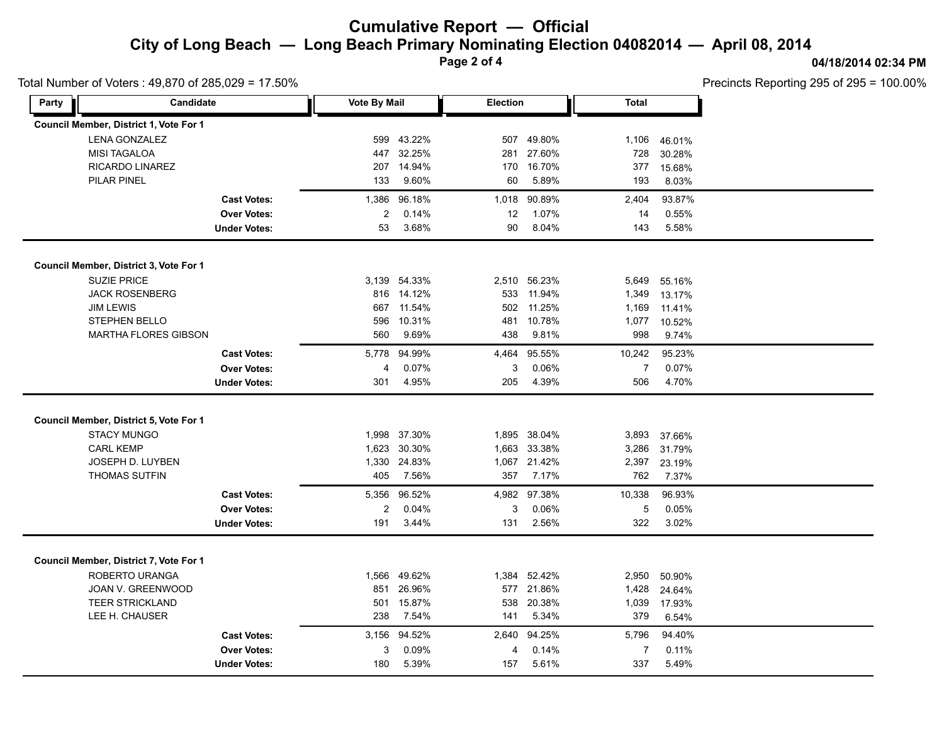**Page 2 of 4**

#### **04/18/2014 02:34 PM**

Total Number of Voters : 49,870 of 285,029 = 17.50%

Precincts Reporting 295 of 295 = 100.00%

| Candidate<br>Party                     |                     | <b>Vote By Mail</b> |              | <b>Election</b> |              | <b>Total</b>   |        |  |
|----------------------------------------|---------------------|---------------------|--------------|-----------------|--------------|----------------|--------|--|
| Council Member, District 1, Vote For 1 |                     |                     |              |                 |              |                |        |  |
| <b>LENA GONZALEZ</b>                   |                     | 599                 | 43.22%       | 507             | 49.80%       | 1,106          | 46.01% |  |
| <b>MISI TAGALOA</b>                    |                     | 447                 | 32.25%       | 281             | 27.60%       | 728            | 30.28% |  |
| RICARDO LINAREZ                        |                     | 207                 | 14.94%       | 170             | 16.70%       | 377            | 15.68% |  |
| PILAR PINEL                            |                     | 133                 | 9.60%        | 60              | 5.89%        | 193            | 8.03%  |  |
|                                        | <b>Cast Votes:</b>  | 1,386               | 96.18%       | 1,018           | 90.89%       | 2,404          | 93.87% |  |
|                                        | <b>Over Votes:</b>  | 2                   | 0.14%        | 12              | 1.07%        | 14             | 0.55%  |  |
|                                        | <b>Under Votes:</b> | 53                  | 3.68%        | 90              | 8.04%        | 143            | 5.58%  |  |
| Council Member, District 3, Vote For 1 |                     |                     |              |                 |              |                |        |  |
| <b>SUZIE PRICE</b>                     |                     |                     | 3,139 54.33% | 2,510           | 56.23%       | 5,649          | 55.16% |  |
| <b>JACK ROSENBERG</b>                  |                     |                     | 816 14.12%   | 533             | 11.94%       | 1,349          | 13.17% |  |
| <b>JIM LEWIS</b>                       |                     | 667                 | 11.54%       | 502             | 11.25%       | 1,169          | 11.41% |  |
| <b>STEPHEN BELLO</b>                   |                     | 596                 | 10.31%       | 481             | 10.78%       | 1,077          | 10.52% |  |
| <b>MARTHA FLORES GIBSON</b>            |                     | 560                 | 9.69%        | 438             | 9.81%        | 998            | 9.74%  |  |
|                                        | <b>Cast Votes:</b>  | 5,778               | 94.99%       | 4,464           | 95.55%       | 10,242         | 95.23% |  |
|                                        | <b>Over Votes:</b>  | $\overline{4}$      | 0.07%        | 3               | 0.06%        | $\overline{7}$ | 0.07%  |  |
|                                        | <b>Under Votes:</b> | 301                 | 4.95%        | 205             | 4.39%        | 506            | 4.70%  |  |
|                                        |                     |                     |              |                 |              |                |        |  |
| Council Member, District 5, Vote For 1 |                     |                     |              |                 |              |                |        |  |
| <b>STACY MUNGO</b>                     |                     |                     | 1,998 37.30% |                 | 1,895 38.04% | 3,893          | 37.66% |  |
| <b>CARL KEMP</b>                       |                     |                     | 1,623 30.30% |                 | 1,663 33.38% | 3,286          | 31.79% |  |
| JOSEPH D. LUYBEN                       |                     |                     | 1,330 24.83% |                 | 1,067 21.42% | 2,397          | 23.19% |  |
| <b>THOMAS SUTFIN</b>                   |                     | 405                 | 7.56%        | 357             | 7.17%        | 762            | 7.37%  |  |
|                                        | <b>Cast Votes:</b>  | 5,356               | 96.52%       |                 | 4,982 97.38% | 10,338         | 96.93% |  |
|                                        | <b>Over Votes:</b>  | 2                   | 0.04%        | 3               | 0.06%        | 5              | 0.05%  |  |
|                                        | <b>Under Votes:</b> | 191                 | 3.44%        | 131             | 2.56%        | 322            | 3.02%  |  |
|                                        |                     |                     |              |                 |              |                |        |  |
| Council Member, District 7, Vote For 1 |                     |                     |              |                 |              |                |        |  |
| ROBERTO URANGA                         |                     |                     | 1,566 49.62% |                 | 1,384 52.42% | 2,950          | 50.90% |  |
| JOAN V. GREENWOOD                      |                     | 851                 | 26.96%       |                 | 577 21.86%   | 1,428          | 24.64% |  |
| <b>TEER STRICKLAND</b>                 |                     | 501                 | 15.87%       | 538             | 20.38%       | 1,039          | 17.93% |  |
| LEE H. CHAUSER                         |                     | 238                 | 7.54%        | 141             | 5.34%        | 379            | 6.54%  |  |
|                                        | <b>Cast Votes:</b>  |                     | 3,156 94.52% | 2,640           | 94.25%       | 5,796          | 94.40% |  |
|                                        | <b>Over Votes:</b>  | 3                   | 0.09%        | 4               | 0.14%        | 7              | 0.11%  |  |
|                                        | <b>Under Votes:</b> | 180                 | 5.39%        | 157             | 5.61%        | 337            | 5.49%  |  |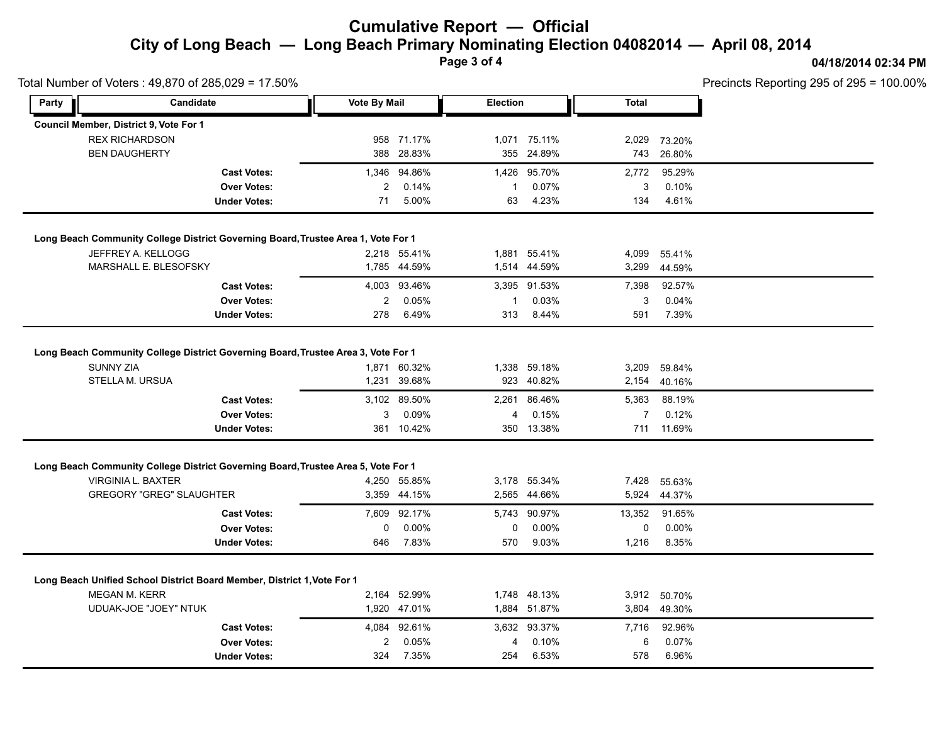**Page 3 of 4**

## **04/18/2014 02:34 PM**

|                    | Total Number of Voters: 49,870 of 285,029 = 17.50%                                |                     |              |                 |              |                |            | Precincts Reporting 295 of 295 = 100.00% |  |  |  |
|--------------------|-----------------------------------------------------------------------------------|---------------------|--------------|-----------------|--------------|----------------|------------|------------------------------------------|--|--|--|
| Candidate<br>Party |                                                                                   | <b>Vote By Mail</b> |              | <b>Election</b> |              | <b>Total</b>   |            |                                          |  |  |  |
|                    | Council Member, District 9, Vote For 1                                            |                     |              |                 |              |                |            |                                          |  |  |  |
|                    | <b>REX RICHARDSON</b>                                                             |                     | 958 71.17%   |                 | 1,071 75.11% | 2,029          | 73.20%     |                                          |  |  |  |
|                    | <b>BEN DAUGHERTY</b>                                                              |                     | 388 28.83%   |                 | 355 24.89%   | 743            | 26.80%     |                                          |  |  |  |
|                    | <b>Cast Votes:</b>                                                                |                     | 1,346 94.86% |                 | 1,426 95.70% | 2,772          | 95.29%     |                                          |  |  |  |
|                    | <b>Over Votes:</b>                                                                | 2                   | 0.14%        | -1              | 0.07%        | 3              | 0.10%      |                                          |  |  |  |
|                    | <b>Under Votes:</b>                                                               | 71                  | 5.00%        | 63              | 4.23%        | 134            | 4.61%      |                                          |  |  |  |
|                    | Long Beach Community College District Governing Board, Trustee Area 1, Vote For 1 |                     |              |                 |              |                |            |                                          |  |  |  |
|                    | JEFFREY A. KELLOGG                                                                |                     | 2,218 55.41% |                 | 1,881 55.41% | 4,099          | 55.41%     |                                          |  |  |  |
|                    | MARSHALL E. BLESOFSKY                                                             |                     | 1,785 44.59% |                 | 1,514 44.59% | 3,299          | 44.59%     |                                          |  |  |  |
|                    | <b>Cast Votes:</b>                                                                |                     | 4,003 93.46% |                 | 3,395 91.53% | 7,398          | 92.57%     |                                          |  |  |  |
|                    | <b>Over Votes:</b>                                                                | $\overline{2}$      | 0.05%        | -1              | 0.03%        | 3              | 0.04%      |                                          |  |  |  |
|                    | <b>Under Votes:</b>                                                               | 278                 | 6.49%        | 313             | 8.44%        | 591            | 7.39%      |                                          |  |  |  |
|                    |                                                                                   |                     |              |                 |              |                |            |                                          |  |  |  |
|                    | Long Beach Community College District Governing Board, Trustee Area 3, Vote For 1 |                     |              |                 |              |                |            |                                          |  |  |  |
|                    | <b>SUNNY ZIA</b>                                                                  |                     | 1,871 60.32% |                 | 1,338 59.18% | 3,209          | 59.84%     |                                          |  |  |  |
|                    | STELLA M. URSUA                                                                   |                     | 1,231 39.68% |                 | 923 40.82%   | 2,154          | 40.16%     |                                          |  |  |  |
|                    | <b>Cast Votes:</b>                                                                |                     | 3,102 89.50% |                 | 2,261 86.46% | 5,363          | 88.19%     |                                          |  |  |  |
|                    | <b>Over Votes:</b>                                                                | 3                   | 0.09%        | 4               | 0.15%        | $\overline{7}$ | 0.12%      |                                          |  |  |  |
|                    | <b>Under Votes:</b>                                                               |                     | 361 10.42%   |                 | 350 13.38%   |                | 711 11.69% |                                          |  |  |  |
|                    | Long Beach Community College District Governing Board, Trustee Area 5, Vote For 1 |                     |              |                 |              |                |            |                                          |  |  |  |
|                    | VIRGINIA L. BAXTER                                                                |                     | 4,250 55.85% |                 | 3,178 55.34% | 7,428          | 55.63%     |                                          |  |  |  |
|                    | <b>GREGORY "GREG" SLAUGHTER</b>                                                   |                     | 3,359 44.15% |                 | 2,565 44.66% | 5,924          | 44.37%     |                                          |  |  |  |
|                    | <b>Cast Votes:</b>                                                                |                     | 7,609 92.17% | 5,743           | 90.97%       | 13,352         | 91.65%     |                                          |  |  |  |
|                    | <b>Over Votes:</b>                                                                | 0                   | $0.00\%$     | 0               | 0.00%        | 0              | 0.00%      |                                          |  |  |  |
|                    | <b>Under Votes:</b>                                                               | 646                 | 7.83%        | 570             | 9.03%        | 1,216          | 8.35%      |                                          |  |  |  |
|                    |                                                                                   |                     |              |                 |              |                |            |                                          |  |  |  |
|                    | Long Beach Unified School District Board Member, District 1, Vote For 1           |                     |              |                 |              |                |            |                                          |  |  |  |
|                    | <b>MEGAN M. KERR</b>                                                              |                     | 2,164 52.99% |                 | 1,748 48.13% | 3,912          | 50.70%     |                                          |  |  |  |
|                    | UDUAK-JOE "JOEY" NTUK                                                             |                     | 1,920 47.01% |                 | 1,884 51.87% | 3,804          | 49.30%     |                                          |  |  |  |
|                    | <b>Cast Votes:</b>                                                                |                     | 4,084 92.61% |                 | 3,632 93.37% | 7,716          | 92.96%     |                                          |  |  |  |
|                    |                                                                                   |                     |              |                 |              |                |            |                                          |  |  |  |
|                    | <b>Over Votes:</b>                                                                | $\overline{c}$      | 0.05%        | 4               | 0.10%        | 6              | 0.07%      |                                          |  |  |  |